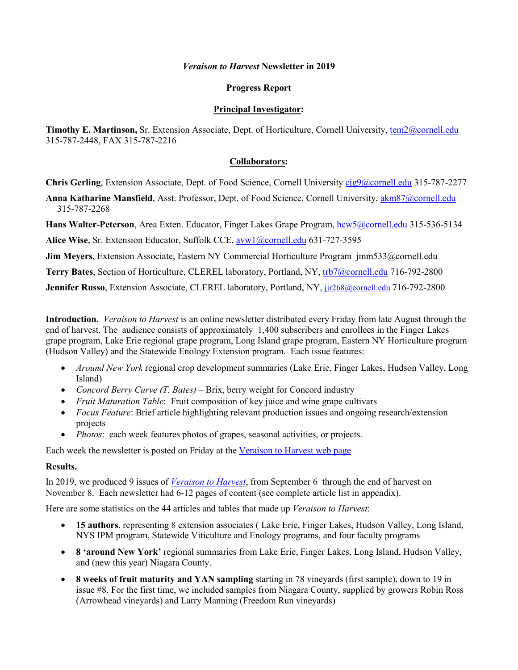#### *Veraison to Harvest* **Newsletter in 2019**

#### **Progress Report**

#### **Principal Investigator:**

Timothy E. Martinson, Sr. Extension Associate, Dept. of Horticulture, Cornell University, [tem2@cornell.edu](mailto:tem2@cornell.edu) 315-787-2448, FAX 315-787-2216

#### **Collaborators:**

**Chris Gerling**, Extension Associate, Dept. of Food Science, Cornell University [cjg9@cornell.edu](mailto:cjg9@cornell.edu) 315-787-2277

**Anna Katharine Mansfield**, Asst. Professor, Dept. of Food Science, Cornell University[, akm87@cornell.edu](mailto:akm87@cornell.edu) 315-787-2268

**Hans Walter-Peterson**, Area Exten. Educator, Finger Lakes Grape Program, [hcw5@cornell.edu](mailto:hcw5@cornell.edu) 315-536-5134

Alice Wise, Sr. Extension Educator, Suffolk CCE, [avw1@cornell.edu](mailto:avw1@cornell.edu) 631-727-3595

**Jim Meyers**, Extension Associate, Eastern NY Commercial Horticulture Program jmm533@cornell.edu

**Terry Bates**, Section of Horticulture, CLEREL laboratory, Portland, NY, [trb7@cornell.edu](mailto:trb7@cornell.edu) 716-792-2800

**Jennifer Russo**, Extension Associate, CLEREL laboratory, Portland, NY[, jjr268@cornell.edu](mailto:jjr268@cornell.edu) 716-792-2800

**Introduction.** *Veraison to Harvest* is an online newsletter distributed every Friday from late August through the end of harvest. The audience consists of approximately 1,400 subscribers and enrollees in the Finger Lakes grape program, Lake Erie regional grape program, Long Island grape program, Eastern NY Horticulture program (Hudson Valley) and the Statewide Enology Extension program. Each issue features:

- *Around New York* regional crop development summaries (Lake Erie, Finger Lakes, Hudson Valley, Long Island)
- *Concord Berry Curve (T. Bates)* Brix, berry weight for Concord industry
- *Fruit Maturation Table*: Fruit composition of key juice and wine grape cultivars
- *Focus Feature*: Brief article highlighting relevant production issues and ongoing research/extension projects
- *Photos*: each week features photos of grapes, seasonal activities, or projects.

Each week the newsletter is posted on Friday at the [Veraison to Harvest web page](https://grapesandwine.cals.cornell.edu/newsletters/veraison-harvest)

#### **Results.**

In 2019, we produced 9 issues of *[Veraison to Harvest](https://grapesandwine.cals.cornell.edu/newsletters/veraison-harvest)*, from September 6 through the end of harvest on November 8. Each newsletter had 6-12 pages of content (see complete article list in appendix).

Here are some statistics on the 44 articles and tables that made up *Veraison to Harvest*:

- **15 authors**, representing 8 extension associates ( Lake Erie, Finger Lakes, Hudson Valley, Long Island, NYS IPM program, Statewide Viticulture and Enology programs, and four faculty programs
- **8 'around New York'** regional summaries from Lake Erie, Finger Lakes, Long Island, Hudson Valley, and (new this year) Niagara County.
- **8 weeks of fruit maturity and YAN sampling** starting in 78 vineyards (first sample), down to 19 in issue #8. For the first time, we included samples from Niagara County, supplied by growers Robin Ross (Arrowhead vineyards) and Larry Manning (Freedom Run vineyards)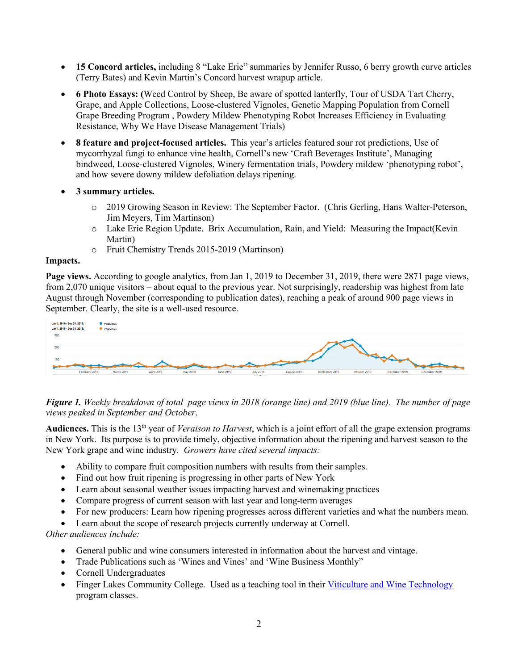- **15 Concord articles,** including 8 "Lake Erie" summaries by Jennifer Russo, 6 berry growth curve articles (Terry Bates) and Kevin Martin's Concord harvest wrapup article.
- **6 Photo Essays: (**Weed Control by Sheep, Be aware of spotted lanterfly, Tour of USDA Tart Cherry, Grape, and Apple Collections, Loose-clustered Vignoles, Genetic Mapping Population from Cornell Grape Breeding Program , Powdery Mildew Phenotyping Robot Increases Efficiency in Evaluating Resistance, Why We Have Disease Management Trials)
- **8 feature and project-focused articles.** This year's articles featured sour rot predictions, Use of mycorrhyzal fungi to enhance vine health, Cornell's new 'Craft Beverages Institute', Managing bindweed, Loose-clustered Vignoles, Winery fermentation trials, Powdery mildew 'phenotyping robot', and how severe downy mildew defoliation delays ripening.
- **3 summary articles.** 
	- o 2019 Growing Season in Review: The September Factor. (Chris Gerling, Hans Walter-Peterson, Jim Meyers, Tim Martinson)
	- o Lake Erie Region Update. Brix Accumulation, Rain, and Yield: Measuring the Impact(Kevin Martin)
	- o Fruit Chemistry Trends 2015-2019 (Martinson)

#### **Impacts.**

**Page views.** According to google analytics, from Jan 1, 2019 to December 31, 2019, there were 2871 page views, from 2,070 unique visitors – about equal to the previous year. Not surprisingly, readership was highest from late August through November (corresponding to publication dates), reaching a peak of around 900 page views in September. Clearly, the site is a well-used resource.



*Figure 1. Weekly breakdown of total page views in 2018 (orange line) and 2019 (blue line). The number of page views peaked in September and October*.

**Audiences.** This is the 13th year of *Veraison to Harvest*, which is a joint effort of all the grape extension programs in New York. Its purpose is to provide timely, objective information about the ripening and harvest season to the New York grape and wine industry. *Growers have cited several impacts:*

- Ability to compare fruit composition numbers with results from their samples.
- Find out how fruit ripening is progressing in other parts of New York
- Learn about seasonal weather issues impacting harvest and winemaking practices
- Compare progress of current season with last year and long-term averages
- For new producers: Learn how ripening progresses across different varieties and what the numbers mean.
- Learn about the scope of research projects currently underway at Cornell.

*Other audiences include:*

- General public and wine consumers interested in information about the harvest and vintage.
- Trade Publications such as 'Wines and Vines' and 'Wine Business Monthly"
- Cornell Undergraduates
- Finger Lakes Community College. Used as a teaching tool in their [Viticulture and Wine Technology](https://www.flcc.edu/academics/viticulture/) program classes.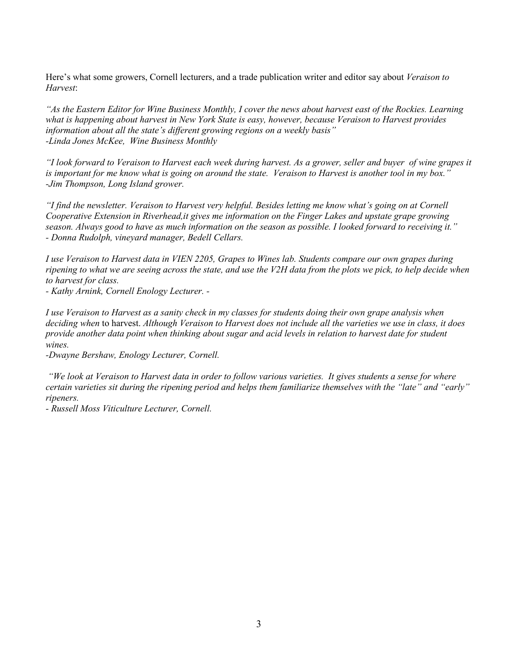Here's what some growers, Cornell lecturers, and a trade publication writer and editor say about *Veraison to Harvest*:

*"As the Eastern Editor for Wine Business Monthly, I cover the news about harvest east of the Rockies. Learning what is happening about harvest in New York State is easy, however, because Veraison to Harvest provides information about all the state's different growing regions on a weekly basis" -Linda Jones McKee, Wine Business Monthly*

*"I look forward to Veraison to Harvest each week during harvest. As a grower, seller and buyer of wine grapes it is important for me know what is going on around the state. Veraison to Harvest is another tool in my box." -Jim Thompson, Long Island grower.*

*"I find the newsletter. Veraison to Harvest very helpful. Besides letting me know what's going on at Cornell Cooperative Extension in Riverhead,it gives me information on the Finger Lakes and upstate grape growing season. Always good to have as much information on the season as possible. I looked forward to receiving it." - Donna Rudolph, vineyard manager, Bedell Cellars.*

*I use Veraison to Harvest data in VIEN 2205, Grapes to Wines lab. Students compare our own grapes during ripening to what we are seeing across the state, and use the V2H data from the plots we pick, to help decide when to harvest for class.*

*- Kathy Arnink, Cornell Enology Lecturer. -*

*I use Veraison to Harvest as a sanity check in my classes for students doing their own grape analysis when deciding when* to harvest. *Although Veraison to Harvest does not include all the varieties we use in class, it does provide another data point when thinking about sugar and acid levels in relation to harvest date for student wines.*

*-Dwayne Bershaw, Enology Lecturer, Cornell.*

*"We look at Veraison to Harvest data in order to follow various varieties. It gives students a sense for where certain varieties sit during the ripening period and helps them familiarize themselves with the "late" and "early" ripeners.*

*- Russell Moss Viticulture Lecturer, Cornell.*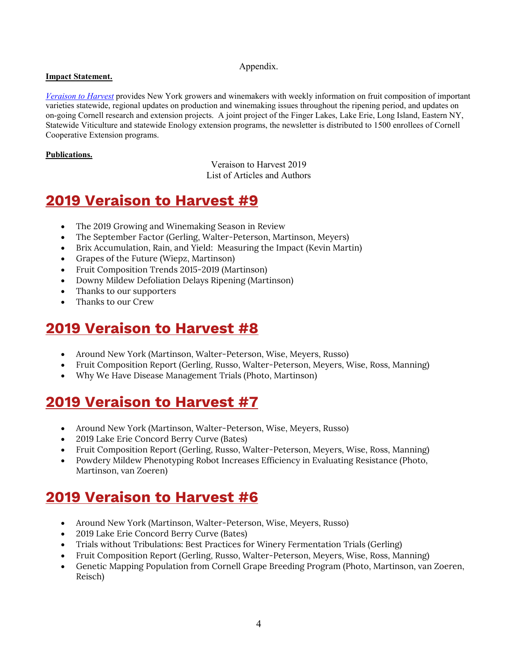### Appendix.

### **Impact Statement.**

*[Veraison to Harvest](https://grapesandwine.cals.cornell.edu/newsletters/veraison-harvest)* provides New York growers and winemakers with weekly information on fruit composition of important varieties statewide, regional updates on production and winemaking issues throughout the ripening period, and updates on on-going Cornell research and extension projects. A joint project of the Finger Lakes, Lake Erie, Long Island, Eastern NY, Statewide Viticulture and statewide Enology extension programs, the newsletter is distributed to 1500 enrollees of Cornell Cooperative Extension programs.

### **Publications.**

Veraison to Harvest 2019 List of Articles and Authors

### **[2019 Veraison to Harvest #9](https://grapesandwine.cals.cornell.edu/sites/grapesandwine.cals.cornell.edu/files/shared/Veraison%20to%20Harvest%202019%20%239.pdf)**

- The 2019 Growing and Winemaking Season in Review
- The September Factor (Gerling, Walter-Peterson, Martinson, Meyers)
- Brix Accumulation, Rain, and Yield: Measuring the Impact (Kevin Martin)
- Grapes of the Future (Wiepz, Martinson)
- Fruit Composition Trends 2015-2019 (Martinson)
- Downy Mildew Defoliation Delays Ripening (Martinson)
- Thanks to our supporters
- Thanks to our Crew

### **[2019 Veraison to Harvest #8](https://grapesandwine.cals.cornell.edu/sites/grapesandwine.cals.cornell.edu/files/shared/Veraison%20to%20Harvest%202019%20%238.pdf)**

- Around New York (Martinson, Walter-Peterson, Wise, Meyers, Russo)
- Fruit Composition Report (Gerling, Russo, Walter-Peterson, Meyers, Wise, Ross, Manning)
- Why We Have Disease Management Trials (Photo, Martinson)

### **[2019 Veraison to Harvest #7](https://grapesandwine.cals.cornell.edu/sites/grapesandwine.cals.cornell.edu/files/shared/Veraison%20to%20Harvest%202019%20%237.pdf)**

- Around New York (Martinson, Walter-Peterson, Wise, Meyers, Russo)
- 2019 Lake Erie Concord Berry Curve (Bates)
- Fruit Composition Report (Gerling, Russo, Walter-Peterson, Meyers, Wise, Ross, Manning)
- Powdery Mildew Phenotyping Robot Increases Efficiency in Evaluating Resistance (Photo, Martinson, van Zoeren)

### **[2019 Veraison to Harvest #6](https://grapesandwine.cals.cornell.edu/sites/grapesandwine.cals.cornell.edu/files/shared/Veraison%20to%20Harvest%202019%20%236.pdf)**

- Around New York (Martinson, Walter-Peterson, Wise, Meyers, Russo)
- 2019 Lake Erie Concord Berry Curve (Bates)
- Trials without Tribulations: Best Practices for Winery Fermentation Trials (Gerling)
- Fruit Composition Report (Gerling, Russo, Walter-Peterson, Meyers, Wise, Ross, Manning)
- Genetic Mapping Population from Cornell Grape Breeding Program (Photo, Martinson, van Zoeren, Reisch)